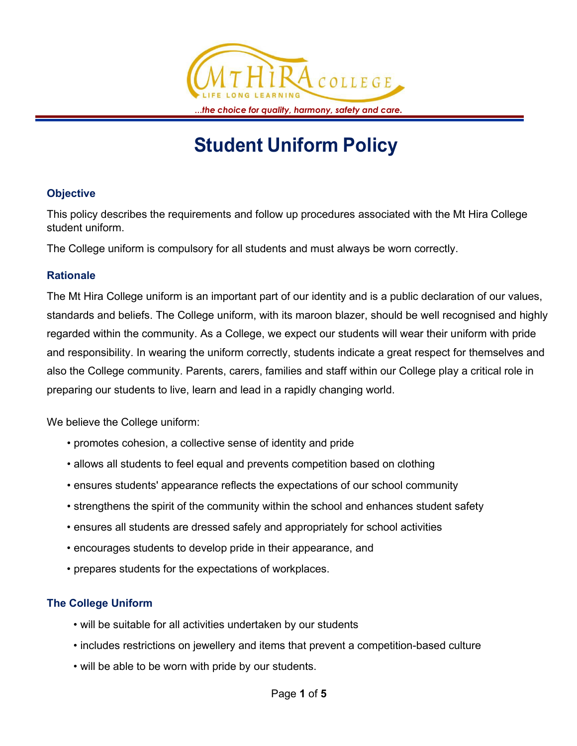

# **Student Uniform Policy**

#### **Objective**

This policy describes the requirements and follow up procedures associated with the Mt Hira College student uniform.

The College uniform is compulsory for all students and must always be worn correctly.

#### **Rationale**

The Mt Hira College uniform is an important part of our identity and is a public declaration of our values, standards and beliefs. The College uniform, with its maroon blazer, should be well recognised and highly regarded within the community. As a College, we expect our students will wear their uniform with pride and responsibility. In wearing the uniform correctly, students indicate a great respect for themselves and also the College community. Parents, carers, families and staff within our College play a critical role in preparing our students to live, learn and lead in a rapidly changing world.

We believe the College uniform:

- promotes cohesion, a collective sense of identity and pride
- allows all students to feel equal and prevents competition based on clothing
- ensures students' appearance reflects the expectations of our school community
- strengthens the spirit of the community within the school and enhances student safety
- ensures all students are dressed safely and appropriately for school activities
- encourages students to develop pride in their appearance, and
- prepares students for the expectations of workplaces.

### **The College Uniform**

- will be suitable for all activities undertaken by our students
- includes restrictions on jewellery and items that prevent a competition-based culture
- will be able to be worn with pride by our students.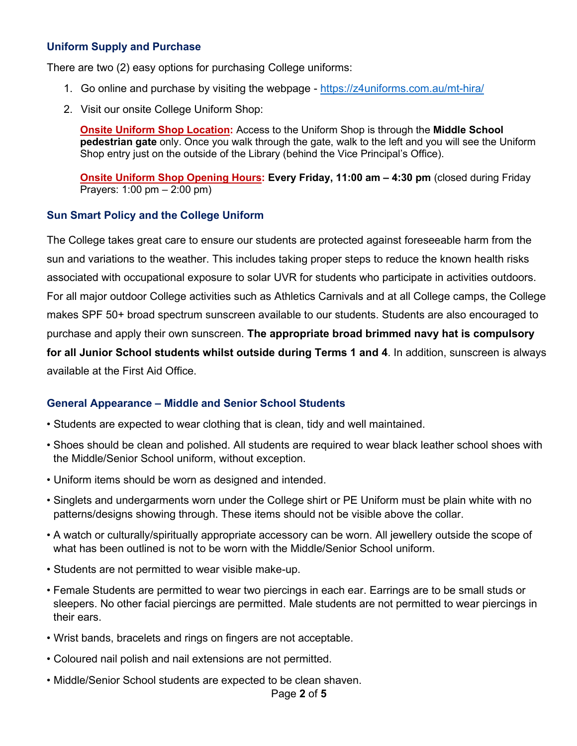#### **Uniform Supply and Purchase**

There are two (2) easy options for purchasing College uniforms:

- 1. Go online and purchase by visiting the webpage <https://z4uniforms.com.au/mt-hira/>
- 2. Visit our onsite College Uniform Shop:

**Onsite Uniform Shop Location:** Access to the Uniform Shop is through the **Middle School pedestrian gate** only. Once you walk through the gate, walk to the left and you will see the Uniform Shop entry just on the outside of the Library (behind the Vice Principal's Office).

**Onsite Uniform Shop Opening Hours: Every Friday, 11:00 am – 4:30 pm** (closed during Friday Prayers: 1:00 pm – 2:00 pm)

#### **Sun Smart Policy and the College Uniform**

The College takes great care to ensure our students are protected against foreseeable harm from the sun and variations to the weather. This includes taking proper steps to reduce the known health risks associated with occupational exposure to solar UVR for students who participate in activities outdoors. For all major outdoor College activities such as Athletics Carnivals and at all College camps, the College makes SPF 50+ broad spectrum sunscreen available to our students. Students are also encouraged to purchase and apply their own sunscreen. **The appropriate broad brimmed navy hat is compulsory for all Junior School students whilst outside during Terms 1 and 4**. In addition, sunscreen is always available at the First Aid Office.

#### **General Appearance – Middle and Senior School Students**

- Students are expected to wear clothing that is clean, tidy and well maintained.
- Shoes should be clean and polished. All students are required to wear black leather school shoes with the Middle/Senior School uniform, without exception.
- Uniform items should be worn as designed and intended.
- Singlets and undergarments worn under the College shirt or PE Uniform must be plain white with no patterns/designs showing through. These items should not be visible above the collar.
- A watch or culturally/spiritually appropriate accessory can be worn. All jewellery outside the scope of what has been outlined is not to be worn with the Middle/Senior School uniform.
- Students are not permitted to wear visible make-up.
- Female Students are permitted to wear two piercings in each ear. Earrings are to be small studs or sleepers. No other facial piercings are permitted. Male students are not permitted to wear piercings in their ears.
- Wrist bands, bracelets and rings on fingers are not acceptable.
- Coloured nail polish and nail extensions are not permitted.
- Middle/Senior School students are expected to be clean shaven.

#### Page **2** of **5**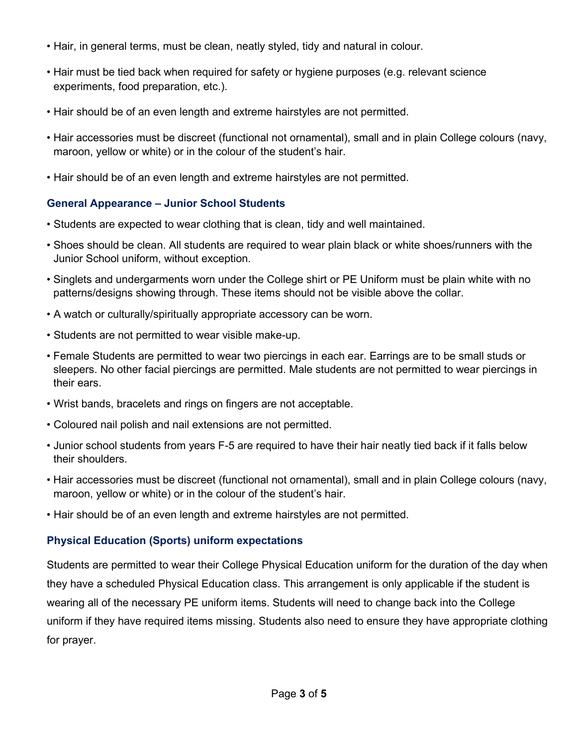- Hair, in general terms, must be clean, neatly styled, tidy and natural in colour.
- Hair must be tied back when required for safety or hygiene purposes (e.g. relevant science experiments, food preparation, etc.).
- Hair should be of an even length and extreme hairstyles are not permitted.
- Hair accessories must be discreet (functional not ornamental), small and in plain College colours (navy, maroon, yellow or white) or in the colour of the student's hair.
- Hair should be of an even length and extreme hairstyles are not permitted.

#### **General Appearance – Junior School Students**

- Students are expected to wear clothing that is clean, tidy and well maintained.
- Shoes should be clean. All students are required to wear plain black or white shoes/runners with the Junior School uniform, without exception.
- Singlets and undergarments worn under the College shirt or PE Uniform must be plain white with no patterns/designs showing through. These items should not be visible above the collar.
- A watch or culturally/spiritually appropriate accessory can be worn.
- Students are not permitted to wear visible make-up.
- Female Students are permitted to wear two piercings in each ear. Earrings are to be small studs or sleepers. No other facial piercings are permitted. Male students are not permitted to wear piercings in their ears.
- Wrist bands, bracelets and rings on fingers are not acceptable.
- Coloured nail polish and nail extensions are not permitted.
- Junior school students from years F-5 are required to have their hair neatly tied back if it falls below their shoulders.
- Hair accessories must be discreet (functional not ornamental), small and in plain College colours (navy, maroon, yellow or white) or in the colour of the student's hair.
- Hair should be of an even length and extreme hairstyles are not permitted.

### **Physical Education (Sports) uniform expectations**

Students are permitted to wear their College Physical Education uniform for the duration of the day when they have a scheduled Physical Education class. This arrangement is only applicable if the student is wearing all of the necessary PE uniform items. Students will need to change back into the College uniform if they have required items missing. Students also need to ensure they have appropriate clothing for prayer.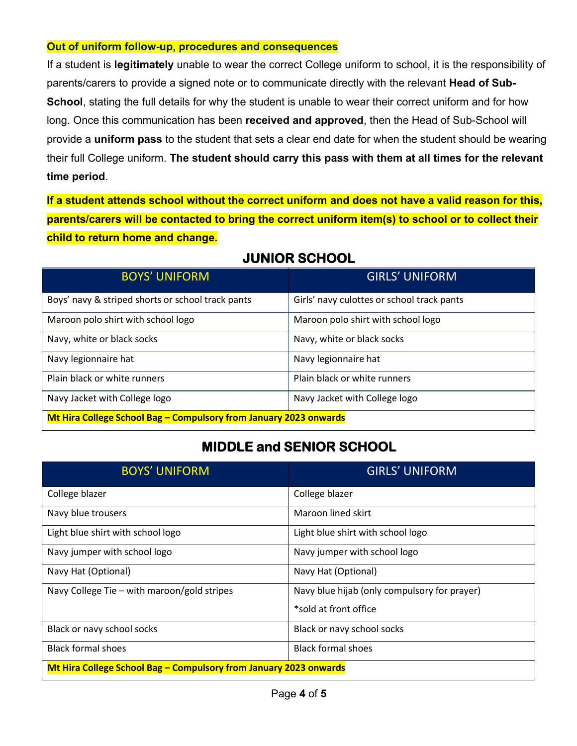#### **Out of uniform follow-up, procedures and consequences**

If a student is **legitimately** unable to wear the correct College uniform to school, it is the responsibility of parents/carers to provide a signed note or to communicate directly with the relevant **Head of Sub-School**, stating the full details for why the student is unable to wear their correct uniform and for how long. Once this communication has been **received and approved**, then the Head of Sub-School will provide a **uniform pass** to the student that sets a clear end date for when the student should be wearing their full College uniform. **The student should carry this pass with them at all times for the relevant time period**.

**If a student attends school without the correct uniform and does not have a valid reason for this, parents/carers will be contacted to bring the correct uniform item(s) to school or to collect their child to return home and change.**

| <b>BOYS' UNIFORM</b>                                              | <b>GIRLS' UNIFORM</b>                      |  |
|-------------------------------------------------------------------|--------------------------------------------|--|
| Boys' navy & striped shorts or school track pants                 | Girls' navy culottes or school track pants |  |
| Maroon polo shirt with school logo                                | Maroon polo shirt with school logo         |  |
| Navy, white or black socks                                        | Navy, white or black socks                 |  |
| Navy legionnaire hat                                              | Navy legionnaire hat                       |  |
| Plain black or white runners                                      | Plain black or white runners               |  |
| Navy Jacket with College logo                                     | Navy Jacket with College logo              |  |
| Mt Hira College School Bag – Compulsory from January 2023 onwards |                                            |  |

## **JUNIOR SCHOOL**

## **MIDDLE and SENIOR SCHOOL**

| <b>BOYS' UNIFORM</b>                                              | <b>GIRLS' UNIFORM</b>                        |  |
|-------------------------------------------------------------------|----------------------------------------------|--|
| College blazer                                                    | College blazer                               |  |
| Navy blue trousers                                                | Maroon lined skirt                           |  |
| Light blue shirt with school logo                                 | Light blue shirt with school logo            |  |
| Navy jumper with school logo                                      | Navy jumper with school logo                 |  |
| Navy Hat (Optional)                                               | Navy Hat (Optional)                          |  |
| Navy College Tie $-$ with maroon/gold stripes                     | Navy blue hijab (only compulsory for prayer) |  |
|                                                                   | *sold at front office                        |  |
| Black or navy school socks                                        | Black or navy school socks                   |  |
| <b>Black formal shoes</b>                                         | <b>Black formal shoes</b>                    |  |
| Mt Hira College School Bag – Compulsory from January 2023 onwards |                                              |  |